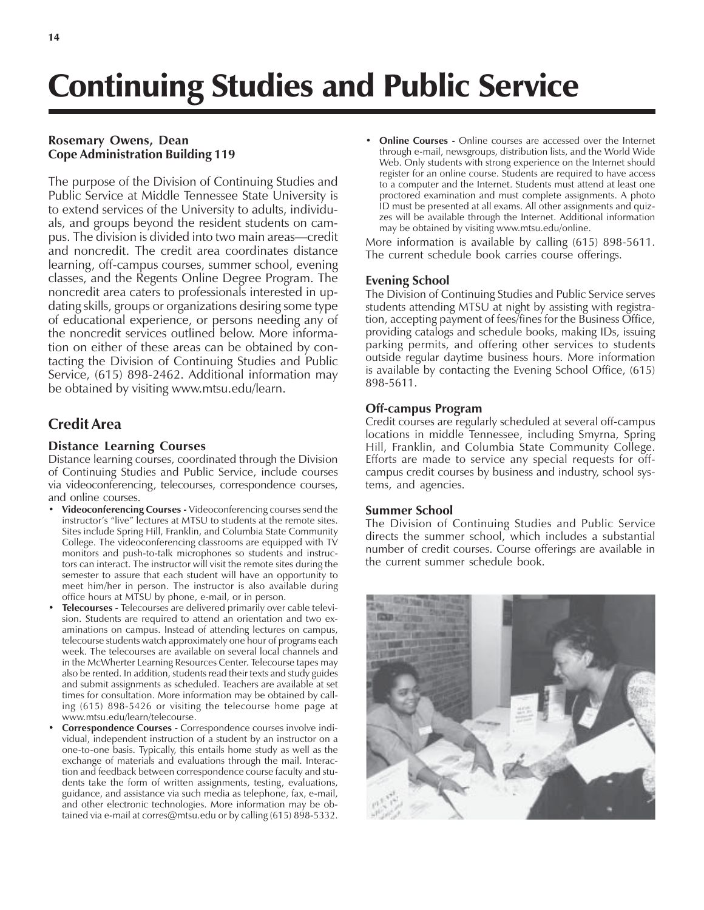# Continuing Studies and Public Service

# **Rosemary Owens, Dean Cope Administration Building 119**

The purpose of the Division of Continuing Studies and Public Service at Middle Tennessee State University is to extend services of the University to adults, individuals, and groups beyond the resident students on campus. The division is divided into two main areas—credit and noncredit. The credit area coordinates distance learning, off-campus courses, summer school, evening classes, and the Regents Online Degree Program. The noncredit area caters to professionals interested in updating skills, groups or organizations desiring some type of educational experience, or persons needing any of the noncredit services outlined below. More information on either of these areas can be obtained by contacting the Division of Continuing Studies and Public Service, (615) 898-2462. Additional information may be obtained by visiting www.mtsu.edu/learn.

# **Credit Area**

# **Distance Learning Courses**

Distance learning courses, coordinated through the Division of Continuing Studies and Public Service, include courses via videoconferencing, telecourses, correspondence courses, and online courses.

- **Videoconferencing Courses Videoconferencing courses send the** instructor's "live" lectures at MTSU to students at the remote sites. Sites include Spring Hill, Franklin, and Columbia State Community College. The videoconferencing classrooms are equipped with TV monitors and push-to-talk microphones so students and instructors can interact. The instructor will visit the remote sites during the semester to assure that each student will have an opportunity to meet him/her in person. The instructor is also available during office hours at MTSU by phone, e-mail, or in person.
- **ï Telecourses** Telecourses are delivered primarily over cable television. Students are required to attend an orientation and two examinations on campus. Instead of attending lectures on campus, telecourse students watch approximately one hour of programs each week. The telecourses are available on several local channels and in the McWherter Learning Resources Center. Telecourse tapes may also be rented. In addition, students read their texts and study guides and submit assignments as scheduled. Teachers are available at set times for consultation. More information may be obtained by calling (615) 898-5426 or visiting the telecourse home page at www.mtsu.edu/learn/telecourse.
- Correspondence Courses Correspondence courses involve individual, independent instruction of a student by an instructor on a one-to-one basis. Typically, this entails home study as well as the exchange of materials and evaluations through the mail. Interaction and feedback between correspondence course faculty and students take the form of written assignments, testing, evaluations, guidance, and assistance via such media as telephone, fax, e-mail, and other electronic technologies. More information may be obtained via e-mail at corres@mtsu.edu or by calling (615) 898-5332.

**Online Courses -** Online courses are accessed over the Internet through e-mail, newsgroups, distribution lists, and the World Wide Web. Only students with strong experience on the Internet should register for an online course. Students are required to have access to a computer and the Internet. Students must attend at least one proctored examination and must complete assignments. A photo ID must be presented at all exams. All other assignments and quizzes will be available through the Internet. Additional information may be obtained by visiting www.mtsu.edu/online.

More information is available by calling (615) 898-5611. The current schedule book carries course offerings.

## **Evening School**

The Division of Continuing Studies and Public Service serves students attending MTSU at night by assisting with registration, accepting payment of fees/fines for the Business Office, providing catalogs and schedule books, making IDs, issuing parking permits, and offering other services to students outside regular daytime business hours. More information is available by contacting the Evening School Office, (615) 898-5611.

# **Off-campus Program**

Credit courses are regularly scheduled at several off-campus locations in middle Tennessee, including Smyrna, Spring Hill, Franklin, and Columbia State Community College. Efforts are made to service any special requests for offcampus credit courses by business and industry, school systems, and agencies.

## **Summer School**

The Division of Continuing Studies and Public Service directs the summer school, which includes a substantial number of credit courses. Course offerings are available in the current summer schedule book.